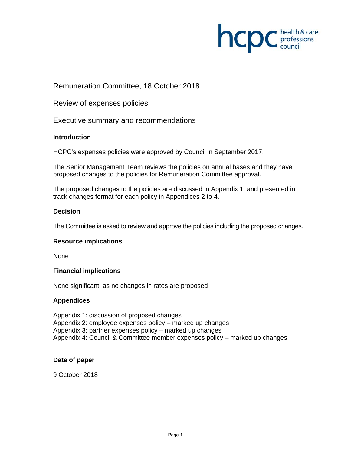

# Remuneration Committee, 18 October 2018

Review of expenses policies

Executive summary and recommendations

# **Introduction**

HCPC's expenses policies were approved by Council in September 2017.

The Senior Management Team reviews the policies on annual bases and they have proposed changes to the policies for Remuneration Committee approval.

The proposed changes to the policies are discussed in Appendix 1, and presented in track changes format for each policy in Appendices 2 to 4.

# **Decision**

The Committee is asked to review and approve the policies including the proposed changes.

# **Resource implications**

None

# **Financial implications**

None significant, as no changes in rates are proposed

# **Appendices**

Appendix 1: discussion of proposed changes Appendix 2: employee expenses policy – marked up changes Appendix 3: partner expenses policy – marked up changes Appendix 4: Council & Committee member expenses policy – marked up changes

# **Date of paper**

9 October 2018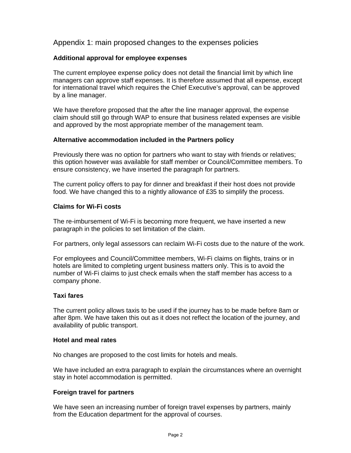# Appendix 1: main proposed changes to the expenses policies

# **Additional approval for employee expenses**

The current employee expense policy does not detail the financial limit by which line managers can approve staff expenses. It is therefore assumed that all expense, except for international travel which requires the Chief Executive's approval, can be approved by a line manager.

We have therefore proposed that the after the line manager approval, the expense claim should still go through WAP to ensure that business related expenses are visible and approved by the most appropriate member of the management team.

# **Alternative accommodation included in the Partners policy**

Previously there was no option for partners who want to stay with friends or relatives; this option however was available for staff member or Council/Committee members. To ensure consistency, we have inserted the paragraph for partners.

The current policy offers to pay for dinner and breakfast if their host does not provide food. We have changed this to a nightly allowance of £35 to simplify the process.

#### **Claims for Wi-Fi costs**

The re-imbursement of Wi-Fi is becoming more frequent, we have inserted a new paragraph in the policies to set limitation of the claim.

For partners, only legal assessors can reclaim Wi-Fi costs due to the nature of the work.

For employees and Council/Committee members, Wi-Fi claims on flights, trains or in hotels are limited to completing urgent business matters only. This is to avoid the number of Wi-Fi claims to just check emails when the staff member has access to a company phone.

# **Taxi fares**

The current policy allows taxis to be used if the journey has to be made before 8am or after 8pm. We have taken this out as it does not reflect the location of the journey, and availability of public transport.

#### **Hotel and meal rates**

No changes are proposed to the cost limits for hotels and meals.

We have included an extra paragraph to explain the circumstances where an overnight stay in hotel accommodation is permitted.

# **Foreign travel for partners**

We have seen an increasing number of foreign travel expenses by partners, mainly from the Education department for the approval of courses.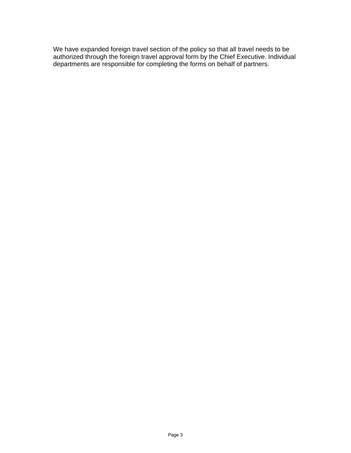We have expanded foreign travel section of the policy so that all travel needs to be authorized through the foreign travel approval form by the Chief Executive. Individual departments are responsible for completing the forms on behalf of partners.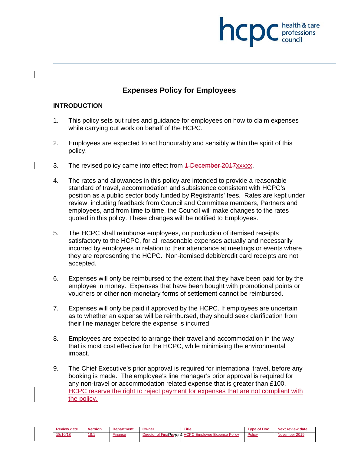# professions

# **Expenses Policy for Employees**

# **INTRODUCTION**

- 1. This policy sets out rules and guidance for employees on how to claim expenses while carrying out work on behalf of the HCPC.
- 2. Employees are expected to act honourably and sensibly within the spirit of this policy.
- 3. The revised policy came into effect from 4 December 2017xxxxx.
- 4. The rates and allowances in this policy are intended to provide a reasonable standard of travel, accommodation and subsistence consistent with HCPC's position as a public sector body funded by Registrants' fees. Rates are kept under review, including feedback from Council and Committee members, Partners and employees, and from time to time, the Council will make changes to the rates quoted in this policy. These changes will be notified to Employees.
- 5. The HCPC shall reimburse employees, on production of itemised receipts satisfactory to the HCPC, for all reasonable expenses actually and necessarily incurred by employees in relation to their attendance at meetings or events where they are representing the HCPC. Non-itemised debit/credit card receipts are not accepted.
- 6. Expenses will only be reimbursed to the extent that they have been paid for by the employee in money. Expenses that have been bought with promotional points or vouchers or other non-monetary forms of settlement cannot be reimbursed.
- 7. Expenses will only be paid if approved by the HCPC. If employees are uncertain as to whether an expense will be reimbursed, they should seek clarification from their line manager before the expense is incurred.
- 8. Employees are expected to arrange their travel and accommodation in the way that is most cost effective for the HCPC, while minimising the environmental impact.
- 9. The Chief Executive's prior approval is required for international travel, before any booking is made. The employee's line manager's prior approval is required for any non-travel or accommodation related expense that is greater than £100. HCPC reserve the right to reject payment for expenses that are not compliant with the policy.

| <b>Review date</b> | <b>Version</b> | Department | Owneı                                                   | <b>Title</b>                                          | of Doc<br>$\tau$ vne . | Next review date |
|--------------------|----------------|------------|---------------------------------------------------------|-------------------------------------------------------|------------------------|------------------|
| 18/10/18           | 18.1           | Finance    | Director of Fina<br><sup>1</sup> Fina <b>ncin</b> de 4. | ವರ 4 <u>HC</u> PC 1<br><b>Employee Expense Policy</b> | Policy                 | November 2019    |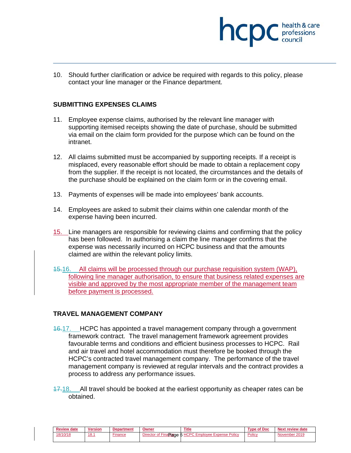

10. Should further clarification or advice be required with regards to this policy, please contact your line manager or the Finance department.

#### **SUBMITTING EXPENSES CLAIMS**

- 11. Employee expense claims, authorised by the relevant line manager with supporting itemised receipts showing the date of purchase, should be submitted via email on the claim form provided for the purpose which can be found on the intranet.
- 12. All claims submitted must be accompanied by supporting receipts. If a receipt is misplaced, every reasonable effort should be made to obtain a replacement copy from the supplier. If the receipt is not located, the circumstances and the details of the purchase should be explained on the claim form or in the covering email.
- 13. Payments of expenses will be made into employees' bank accounts.
- 14. Employees are asked to submit their claims within one calendar month of the expense having been incurred.
- 15. Line managers are responsible for reviewing claims and confirming that the policy has been followed. In authorising a claim the line manager confirms that the expense was necessarily incurred on HCPC business and that the amounts claimed are within the relevant policy limits.
- 15.16. All claims will be processed through our purchase requisition system (WAP), following line manager authorisation, to ensure that business related expenses are visible and approved by the most appropriate member of the management team before payment is processed.

# **TRAVEL MANAGEMENT COMPANY**

- 16.17. HCPC has appointed a travel management company through a government framework contract. The travel management framework agreement provides favourable terms and conditions and efficient business processes to HCPC. Rail and air travel and hotel accommodation must therefore be booked through the HCPC's contracted travel management company. The performance of the travel management company is reviewed at regular intervals and the contract provides a process to address any performance issues.
- 17.18. All travel should be booked at the earliest opportunity as cheaper rates can be obtained.

| <b>Review date</b> | <b>Version</b>        | <b>Department</b> | Owner | <b>Title</b>                                         | Type of Doc | <b>Next review date</b> |
|--------------------|-----------------------|-------------------|-------|------------------------------------------------------|-------------|-------------------------|
| 18/10/18           | ، ٥<br>$\mathbf{o}$ . | Finance           |       | Director of FinaRange 5 HCPC Employee Expense Policy | Policy      | November 2019           |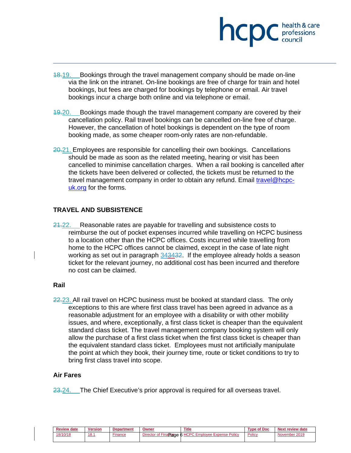

- 18.19. Bookings through the travel management company should be made on-line via the link on the intranet. On-line bookings are free of charge for train and hotel bookings, but fees are charged for bookings by telephone or email. Air travel bookings incur a charge both online and via telephone or email.
- 19.20. Bookings made though the travel management company are covered by their cancellation policy. Rail travel bookings can be cancelled on-line free of charge. However, the cancellation of hotel bookings is dependent on the type of room booking made, as some cheaper room-only rates are non-refundable.
- 20.21. Employees are responsible for cancelling their own bookings. Cancellations should be made as soon as the related meeting, hearing or visit has been cancelled to minimise cancellation charges. When a rail booking is cancelled after the tickets have been delivered or collected, the tickets must be returned to the travel management company in order to obtain any refund. Email travel@hcpcuk.org for the forms.

# **TRAVEL AND SUBSISTENCE**

24.22. Reasonable rates are payable for travelling and subsistence costs to reimburse the out of pocket expenses incurred while travelling on HCPC business to a location other than the HCPC offices. Costs incurred while travelling from home to the HCPC offices cannot be claimed, except in the case of late night working as set out in paragraph 343432. If the employee already holds a season ticket for the relevant journey, no additional cost has been incurred and therefore no cost can be claimed.

#### **Rail**

 $22.23$ . All rail travel on HCPC business must be booked at standard class. The only exceptions to this are where first class travel has been agreed in advance as a reasonable adjustment for an employee with a disability or with other mobility issues, and where, exceptionally, a first class ticket is cheaper than the equivalent standard class ticket. The travel management company booking system will only allow the purchase of a first class ticket when the first class ticket is cheaper than the equivalent standard class ticket. Employees must not artificially manipulate the point at which they book, their journey time, route or ticket conditions to try to bring first class travel into scope.

#### **Air Fares**

23.24. The Chief Executive's prior approval is required for all overseas travel.

| <b>Review date</b> | <b>Version</b> | Department | Owner                 | <b>Title</b>                   | Type of Doc | Next review date |
|--------------------|----------------|------------|-----------------------|--------------------------------|-------------|------------------|
| 18/10/18           | 18.1           | Finance    | Director of Finance 6 | 6 HCPC Employee Expense Policy | Policy      | November 2019    |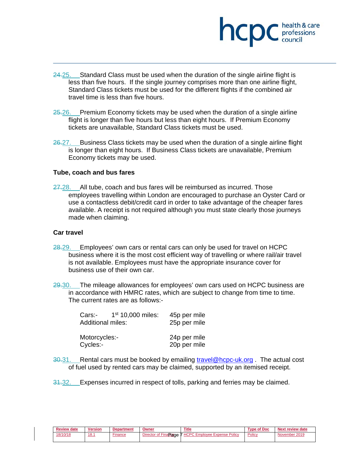

- 24.25. Standard Class must be used when the duration of the single airline flight is less than five hours. If the single journey comprises more than one airline flight, Standard Class tickets must be used for the different flights if the combined air travel time is less than five hours.
- $25.26.$  Premium Economy tickets may be used when the duration of a single airline flight is longer than five hours but less than eight hours. If Premium Economy tickets are unavailable, Standard Class tickets must be used.
- 26.27. Business Class tickets may be used when the duration of a single airline flight is longer than eight hours. If Business Class tickets are unavailable, Premium Economy tickets may be used.

#### **Tube, coach and bus fares**

27.28. All tube, coach and bus fares will be reimbursed as incurred. Those employees travelling within London are encouraged to purchase an Oyster Card or use a contactless debit/credit card in order to take advantage of the cheaper fares available. A receipt is not required although you must state clearly those journeys made when claiming.

#### **Car travel**

- 28.29. Employees' own cars or rental cars can only be used for travel on HCPC business where it is the most cost efficient way of travelling or where rail/air travel is not available. Employees must have the appropriate insurance cover for business use of their own car.
- 29.30. The mileage allowances for employees' own cars used on HCPC business are in accordance with HMRC rates, which are subject to change from time to time. The current rates are as follows:-

| Cars:-<br><b>Additional miles:</b> | $1st 10,000$ miles: | 45p per mile<br>25p per mile |
|------------------------------------|---------------------|------------------------------|
| Motorcycles:-<br>Cycles:-          |                     | 24p per mile<br>20p per mile |

- 30.31. Rental cars must be booked by emailing travel@hcpc-uk.org. The actual cost of fuel used by rented cars may be claimed, supported by an itemised receipt.
- 31.32. Expenses incurred in respect of tolls, parking and ferries may be claimed.

| <b>Review date</b> | <b>Version</b> | <b>Department</b> | Owner                 | <b>Title</b>                          | Type of Doc | Next review date |
|--------------------|----------------|-------------------|-----------------------|---------------------------------------|-------------|------------------|
| 18/10/18           | 18.7           | Finance           | Director of FinaRance | <b>7 HCPC Employee Expense Policy</b> | Policy      | November 2019    |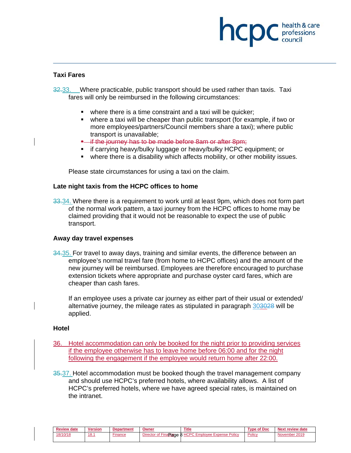# professions

#### **Taxi Fares**

32.33. Where practicable, public transport should be used rather than taxis. Taxi fares will only be reimbursed in the following circumstances:

- where there is a time constraint and a taxi will be quicker;
- where a taxi will be cheaper than public transport (for example, if two or more employees/partners/Council members share a taxi); where public transport is unavailable;
- **•** if the journey has to be made before 8am or after 8pm;
- if carrying heavy/bulky luggage or heavy/bulky HCPC equipment; or
- where there is a disability which affects mobility, or other mobility issues.

Please state circumstances for using a taxi on the claim.

#### **Late night taxis from the HCPC offices to home**

33.34. Where there is a requirement to work until at least 9pm, which does not form part of the normal work pattern, a taxi journey from the HCPC offices to home may be claimed providing that it would not be reasonable to expect the use of public transport.

#### **Away day travel expenses**

34.35. For travel to away days, training and similar events, the difference between an employee's normal travel fare (from home to HCPC offices) and the amount of the new journey will be reimbursed. Employees are therefore encouraged to purchase extension tickets where appropriate and purchase oyster card fares, which are cheaper than cash fares.

If an employee uses a private car journey as either part of their usual or extended/ alternative journey, the mileage rates as stipulated in paragraph 303028 will be applied.

#### **Hotel**

- 36. Hotel accommodation can only be booked for the night prior to providing services if the employee otherwise has to leave home before 06:00 and for the night following the engagement if the employee would return home after 22:00.
- 35.37. Hotel accommodation must be booked though the travel management company and should use HCPC's preferred hotels, where availability allows. A list of HCPC's preferred hotels, where we have agreed special rates, is maintained on the intranet.

| <b>Review date</b> | <b>Version</b> | <b>Department</b> | Owner | Title                                                | <b>Type of Doc</b> | Next review date |
|--------------------|----------------|-------------------|-------|------------------------------------------------------|--------------------|------------------|
| 18/10/18           | 18.1           | inance            |       | Director of FinaRange 8 HCPC Employee Expense Policy | Policy             | November 2019    |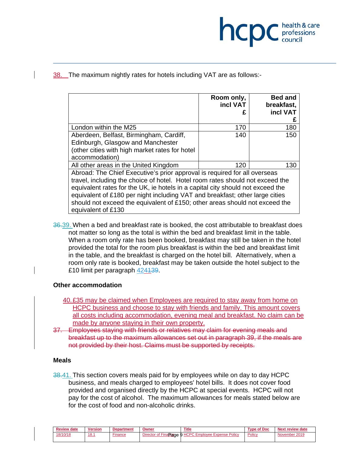

# 38. The maximum nightly rates for hotels including VAT are as follows:-

|                                                                                                                                                                                                                                                                                                                                                                                                                                   | Room only,<br>incl VAT | <b>Bed and</b><br>breakfast,<br>incl VAT |
|-----------------------------------------------------------------------------------------------------------------------------------------------------------------------------------------------------------------------------------------------------------------------------------------------------------------------------------------------------------------------------------------------------------------------------------|------------------------|------------------------------------------|
| London within the M25                                                                                                                                                                                                                                                                                                                                                                                                             | 170                    | 180                                      |
| Aberdeen, Belfast, Birmingham, Cardiff,<br>Edinburgh, Glasgow and Manchester<br>(other cities with high market rates for hotel<br>accommodation)                                                                                                                                                                                                                                                                                  | 140                    | 150                                      |
| All other areas in the United Kingdom                                                                                                                                                                                                                                                                                                                                                                                             | 120                    | 130                                      |
| Abroad: The Chief Executive's prior approval is required for all overseas<br>travel, including the choice of hotel. Hotel room rates should not exceed the<br>equivalent rates for the UK, ie hotels in a capital city should not exceed the<br>equivalent of £180 per night including VAT and breakfast; other large cities<br>should not exceed the equivalent of £150; other areas should not exceed the<br>equivalent of £130 |                        |                                          |

36.39. When a bed and breakfast rate is booked, the cost attributable to breakfast does not matter so long as the total is within the bed and breakfast limit in the table. When a room only rate has been booked, breakfast may still be taken in the hotel provided the total for the room plus breakfast is within the bed and breakfast limit in the table, and the breakfast is charged on the hotel bill. Alternatively, when a room only rate is booked, breakfast may be taken outside the hotel subject to the £10 limit per paragraph 424139.

#### **Other accommodation**

- 40. £35 may be claimed when Employees are required to stay away from home on HCPC business and choose to stay with friends and family. This amount covers all costs including accommodation, evening meal and breakfast. No claim can be made by anyone staying in their own property.
- 37. Employees staying with friends or relatives may claim for evening meals and breakfast up to the maximum allowances set out in paragraph 39, if the meals are not provided by their host. Claims must be supported by receipts.

#### **Meals**

38.41. This section covers meals paid for by employees while on day to day HCPC business, and meals charged to employees' hotel bills. It does not cover food provided and organised directly by the HCPC at special events. HCPC will not pay for the cost of alcohol. The maximum allowances for meals stated below are for the cost of food and non-alcoholic drinks.

| <b>Review date</b> | <b>Version</b> | <b>Department</b> | Owner                     | <b>Title</b>                          | Type of Doc | Next review date |
|--------------------|----------------|-------------------|---------------------------|---------------------------------------|-------------|------------------|
| 18/10/18           | 18.1           | Finance           | Director of FinaRgage 9 ! | <b>9 HCPC Employee Expense Policy</b> | Policy      | November 2019    |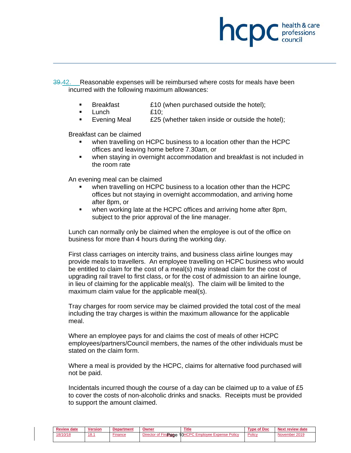

39.42. Reasonable expenses will be reimbursed where costs for meals have been incurred with the following maximum allowances:

- Breakfast **E10** (when purchased outside the hotel);
- Lunch £10;
- Evening Meal £25 (whether taken inside or outside the hotel);

Breakfast can be claimed

- when travelling on HCPC business to a location other than the HCPC offices and leaving home before 7.30am, or
- when staying in overnight accommodation and breakfast is not included in the room rate

An evening meal can be claimed

- when travelling on HCPC business to a location other than the HCPC offices but not staying in overnight accommodation, and arriving home after 8pm, or
- when working late at the HCPC offices and arriving home after 8pm, subject to the prior approval of the line manager.

Lunch can normally only be claimed when the employee is out of the office on business for more than 4 hours during the working day.

First class carriages on intercity trains, and business class airline lounges may provide meals to travellers. An employee travelling on HCPC business who would be entitled to claim for the cost of a meal(s) may instead claim for the cost of upgrading rail travel to first class, or for the cost of admission to an airline lounge, in lieu of claiming for the applicable meal(s). The claim will be limited to the maximum claim value for the applicable meal(s).

Tray charges for room service may be claimed provided the total cost of the meal including the tray charges is within the maximum allowance for the applicable meal.

Where an employee pays for and claims the cost of meals of other HCPC employees/partners/Council members, the names of the other individuals must be stated on the claim form.

Where a meal is provided by the HCPC, claims for alternative food purchased will not be paid.

Incidentals incurred though the course of a day can be claimed up to a value of £5 to cover the costs of non-alcoholic drinks and snacks. Receipts must be provided to support the amount claimed.

| <b>Review date</b> | <b>Version</b> | <b>Department</b> | Owner                | <b>Title</b>                   | Type of Doc | <b>Next review date</b> |
|--------------------|----------------|-------------------|----------------------|--------------------------------|-------------|-------------------------|
| 18/10/18           | 18.1           | Finance           | Director of Finangue | 10HCPC Employee Expense Policy | Policy      | November 2019           |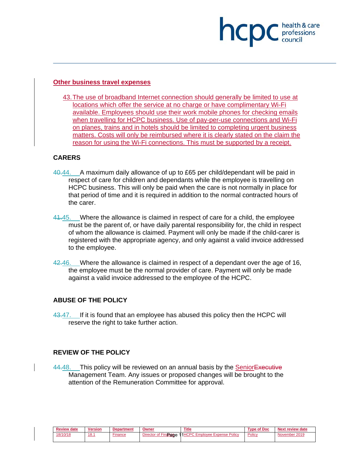# **Other business travel expenses**

43. The use of broadband Internet connection should generally be limited to use at locations which offer the service at no charge or have complimentary Wi-Fi available. Employees should use their work mobile phones for checking emails when travelling for HCPC business. Use of pay-per-use connections and Wi-Fi on planes, trains and in hotels should be limited to completing urgent business matters. Costs will only be reimbursed where it is clearly stated on the claim the reason for using the Wi-Fi connections. This must be supported by a receipt.

professions<br>council

# **CARERS**

- 40.44. A maximum daily allowance of up to £65 per child/dependant will be paid in respect of care for children and dependants while the employee is travelling on HCPC business. This will only be paid when the care is not normally in place for that period of time and it is required in addition to the normal contracted hours of the carer.
- 41.45. Where the allowance is claimed in respect of care for a child, the employee must be the parent of, or have daily parental responsibility for, the child in respect of whom the allowance is claimed. Payment will only be made if the child-carer is registered with the appropriate agency, and only against a valid invoice addressed to the employee.
- 42.46. Where the allowance is claimed in respect of a dependant over the age of 16, the employee must be the normal provider of care. Payment will only be made against a valid invoice addressed to the employee of the HCPC.

# **ABUSE OF THE POLICY**

43.47. If it is found that an employee has abused this policy then the HCPC will reserve the right to take further action.

# **REVIEW OF THE POLICY**

44.48. This policy will be reviewed on an annual basis by the Senior Executive Management Team. Any issues or proposed changes will be brought to the attention of the Remuneration Committee for approval.

| <b>Review date</b> | <b>Version</b> | <b>Department</b> | Owner                | <b>Title</b>                         | <b>Type of Doc</b> | Next review date |
|--------------------|----------------|-------------------|----------------------|--------------------------------------|--------------------|------------------|
| 18/10/18           | 18.1           | Finance           | Director of Finangee | 11HCPC<br>Policy<br>Employee Expense | Policy             | November 2019    |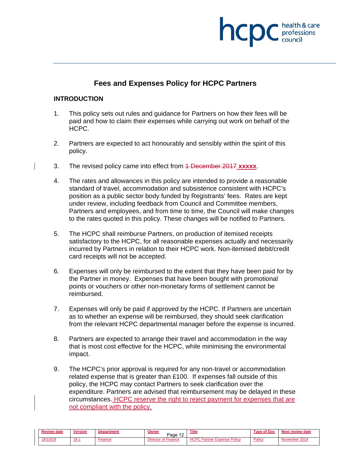

# **Fees and Expenses Policy for HCPC Partners**

#### **INTRODUCTION**

- 1. This policy sets out rules and guidance for Partners on how their fees will be paid and how to claim their expenses while carrying out work on behalf of the HCPC.
- 2. Partners are expected to act honourably and sensibly within the spirit of this policy.
- 3. The revised policy came into effect from 1 December 2017 **xxxxx**.
- 4. The rates and allowances in this policy are intended to provide a reasonable standard of travel, accommodation and subsistence consistent with HCPC's position as a public sector body funded by Registrants' fees. Rates are kept under review, including feedback from Council and Committee members, Partners and employees, and from time to time, the Council will make changes to the rates quoted in this policy. These changes will be notified to Partners.
- 5. The HCPC shall reimburse Partners, on production of itemised receipts satisfactory to the HCPC, for all reasonable expenses actually and necessarily incurred by Partners in relation to their HCPC work. Non-itemised debit/credit card receipts will not be accepted.
- 6. Expenses will only be reimbursed to the extent that they have been paid for by the Partner in money. Expenses that have been bought with promotional points or vouchers or other non-monetary forms of settlement cannot be reimbursed.
- 7. Expenses will only be paid if approved by the HCPC. If Partners are uncertain as to whether an expense will be reimbursed, they should seek clarification from the relevant HCPC departmental manager before the expense is incurred.
- 8. Partners are expected to arrange their travel and accommodation in the way that is most cost effective for the HCPC, while minimising the environmental impact.
- 9. The HCPC's prior approval is required for any non-travel or accommodation related expense that is greater than £100. If expenses fall outside of this policy, the HCPC may contact Partners to seek clarification over the expenditure. Partners are advised that reimbursement may be delayed in these circumstances. HCPC reserve the right to reject payment for expenses that are not compliant with the policy.

| <b>Review date</b> | Version | <b>Department</b> | Owne<br>Page        | <b>Title</b>                                 | <b>Type of Doc</b> | Next review date |
|--------------------|---------|-------------------|---------------------|----------------------------------------------|--------------------|------------------|
| 18/10/18           | 18.1    | ·inance           | Director of Finance | <b>UCDC Dortnor</b><br><b>Expense Policy</b> | Policy             | November 2010    |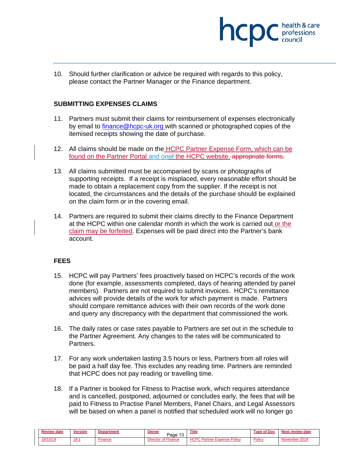

10. Should further clarification or advice be required with regards to this policy, please contact the Partner Manager or the Finance department.

# **SUBMITTING EXPENSES CLAIMS**

- 11. Partners must submit their claims for reimbursement of expenses electronically by email to finance@hcpc-uk.org with scanned or photographed copies of the itemised receipts showing the date of purchase.
- 12. All claims should be made on the HCPC Partner Expense Form, which can be found on the Partner Portal and onef the HCPC website. appropriate forms.
- 13. All claims submitted must be accompanied by scans or photographs of supporting receipts. If a receipt is misplaced, every reasonable effort should be made to obtain a replacement copy from the supplier. If the receipt is not located, the circumstances and the details of the purchase should be explained on the claim form or in the covering email.
- 14. Partners are required to submit their claims directly to the Finance Department at the HCPC within one calendar month in which the work is carried out or the claim may be forfeited. Expenses will be paid direct into the Partner's bank account.

# **FEES**

- 15. HCPC will pay Partners' fees proactively based on HCPC's records of the work done (for example, assessments completed, days of hearing attended by panel members). Partners are not required to submit invoices. HCPC's remittance advices will provide details of the work for which payment is made. Partners should compare remittance advices with their own records of the work done and query any discrepancy with the department that commissioned the work.
- 16. The daily rates or case rates payable to Partners are set out in the schedule to the Partner Agreement. Any changes to the rates will be communicated to Partners.
- 17. For any work undertaken lasting 3.5 hours or less, Partners from all roles will be paid a half day fee. This excludes any reading time. Partners are reminded that HCPC does not pay reading or travelling time.
- 18. If a Partner is booked for Fitness to Practise work, which requires attendance and is cancelled, postponed, adjourned or concludes early, the fees that will be paid to Fitness to Practise Panel Members, Panel Chairs, and Legal Assessors will be based on when a panel is notified that scheduled work will no longer go

| <b>Review date</b> | <b>Version</b> | Department | Owner<br>Page<br>Ιъ. | <b>Title</b>                              | <b>Type of Doc</b> | <b>Next review date</b> |
|--------------------|----------------|------------|----------------------|-------------------------------------------|--------------------|-------------------------|
| 18/10/18           | <u>18.1</u>    | Finance    | Director of Finance  | <b>HCPC Partner Expense Policy</b><br>nu. | <b>Policy</b>      | November 2019           |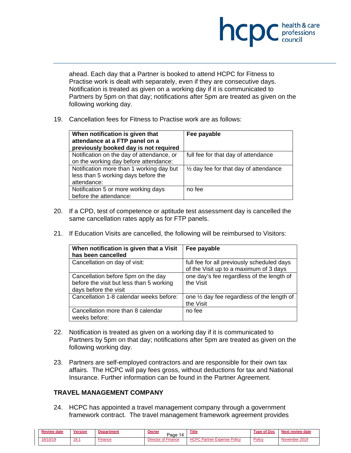

ahead. Each day that a Partner is booked to attend HCPC for Fitness to Practise work is dealt with separately, even if they are consecutive days. Notification is treated as given on a working day if it is communicated to Partners by 5pm on that day; notifications after 5pm are treated as given on the following working day.

19. Cancellation fees for Fitness to Practise work are as follows:

| When notification is given that<br>attendance at a FTP panel on a<br>previously booked day is not required | Fee payable                                      |
|------------------------------------------------------------------------------------------------------------|--------------------------------------------------|
| Notification on the day of attendance, or<br>on the working day before attendance:                         | full fee for that day of attendance              |
| Notification more than 1 working day but<br>less than 5 working days before the<br>attendance:             | $\frac{1}{2}$ day fee for that day of attendance |
| Notification 5 or more working days<br>before the attendance:                                              | no fee                                           |

- 20. If a CPD, test of competence or aptitude test assessment day is cancelled the same cancellation rates apply as for FTP panels.
- 21. If Education Visits are cancelled, the following will be reimbursed to Visitors:

| When notification is given that a Visit<br>has been cancelled                                           | Fee payable                                                                          |
|---------------------------------------------------------------------------------------------------------|--------------------------------------------------------------------------------------|
| Cancellation on day of visit:                                                                           | full fee for all previously scheduled days<br>of the Visit up to a maximum of 3 days |
| Cancellation before 5pm on the day<br>before the visit but less than 5 working<br>days before the visit | one day's fee regardless of the length of<br>the Visit                               |
| Cancellation 1-8 calendar weeks before:                                                                 | one 1/2 day fee regardless of the length of<br>the Visit                             |
| Cancellation more than 8 calendar<br>weeks before:                                                      | no fee                                                                               |

- 22. Notification is treated as given on a working day if it is communicated to Partners by 5pm on that day; notifications after 5pm are treated as given on the following working day.
- 23. Partners are self-employed contractors and are responsible for their own tax affairs. The HCPC will pay fees gross, without deductions for tax and National Insurance. Further information can be found in the Partner Agreement.

# **TRAVEL MANAGEMENT COMPANY**

24. HCPC has appointed a travel management company through a government framework contract. The travel management framework agreement provides

| <b>Review date</b> | <b>Version</b> | Department | Owner<br>Page<br>ے ا                  | <b>Title</b>                       | <b>Type of Doc</b> | <b>Next review date</b> |
|--------------------|----------------|------------|---------------------------------------|------------------------------------|--------------------|-------------------------|
| 18/10/18           | 18.1           | -inance    | <sup>4</sup> Finance<br>Director of I | <b>HCPC Partner Expense Policy</b> | Policy             | November 2019           |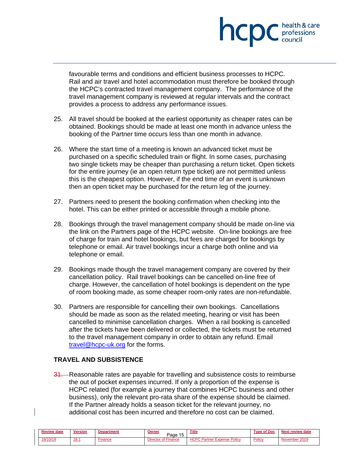

favourable terms and conditions and efficient business processes to HCPC. Rail and air travel and hotel accommodation must therefore be booked through the HCPC's contracted travel management company. The performance of the travel management company is reviewed at regular intervals and the contract provides a process to address any performance issues.

- 25. All travel should be booked at the earliest opportunity as cheaper rates can be obtained. Bookings should be made at least one month in advance unless the booking of the Partner time occurs less than one month in advance.
- 26. Where the start time of a meeting is known an advanced ticket must be purchased on a specific scheduled train or flight. In some cases, purchasing two single tickets may be cheaper than purchasing a return ticket. Open tickets for the entire journey (ie an open return type ticket) are not permitted unless this is the cheapest option. However, if the end time of an event is unknown then an open ticket may be purchased for the return leg of the journey.
- 27. Partners need to present the booking confirmation when checking into the hotel. This can be either printed or accessible through a mobile phone.
- 28. Bookings through the travel management company should be made on-line via the link on the Partners page of the HCPC website. On-line bookings are free of charge for train and hotel bookings, but fees are charged for bookings by telephone or email. Air travel bookings incur a charge both online and via telephone or email.
- 29. Bookings made though the travel management company are covered by their cancellation policy. Rail travel bookings can be cancelled on-line free of charge. However, the cancellation of hotel bookings is dependent on the type of room booking made, as some cheaper room-only rates are non-refundable.
- 30. Partners are responsible for cancelling their own bookings. Cancellations should be made as soon as the related meeting, hearing or visit has been cancelled to minimise cancellation charges. When a rail booking is cancelled after the tickets have been delivered or collected, the tickets must be returned to the travel management company in order to obtain any refund. Email travel@hcpc-uk.org for the forms.

# **TRAVEL AND SUBSISTENCE**

31. Reasonable rates are payable for travelling and subsistence costs to reimburse the out of pocket expenses incurred. If only a proportion of the expense is HCPC related (for example a journey that combines HCPC business and other business), only the relevant pro-rata share of the expense should be claimed. If the Partner already holds a season ticket for the relevant journey, no additional cost has been incurred and therefore no cost can be claimed.

| Review<br>date | <b>Version</b> | rtment | Owneı<br>Page      | <b>Title</b>                             | ' Doc<br>Tyno. | <b>Next</b><br>review date |
|----------------|----------------|--------|--------------------|------------------------------------------|----------------|----------------------------|
| 18/10/18       | 18.            | inance | Directo<br>Finance | 1000<br><b>Expense Policy</b><br>'artner | <b>Policy</b>  | ovember 2010<br>NM.        |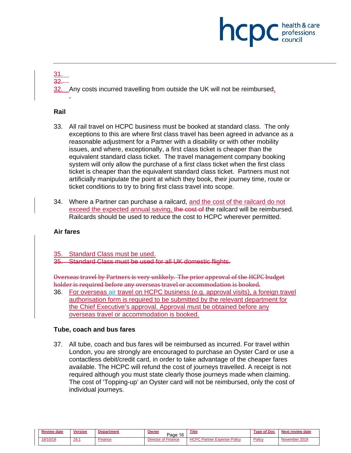# hcp professions

#### <u>31.</u> 32.

Any costs incurred travelling from outside the UK will not be reimbursed.

# **Rail**

.

- 33. All rail travel on HCPC business must be booked at standard class. The only exceptions to this are where first class travel has been agreed in advance as a reasonable adjustment for a Partner with a disability or with other mobility issues, and where, exceptionally, a first class ticket is cheaper than the equivalent standard class ticket. The travel management company booking system will only allow the purchase of a first class ticket when the first class ticket is cheaper than the equivalent standard class ticket. Partners must not artificially manipulate the point at which they book, their journey time, route or ticket conditions to try to bring first class travel into scope.
- 34. Where a Partner can purchase a railcard, and the cost of the railcard do not exceed the expected annual saving, the cost of the railcard will be reimbursed. Railcards should be used to reduce the cost to HCPC wherever permitted.

# **Air fares**

- Standard Class must be used.
- 35. Standard Class must be used for all UK domestic flights.

Overseas travel by Partners is very unlikely. The prior approval of the HCPC budget holder is required before any overseas travel or accommodation is booked.

36. For overseas air travel on HCPC business (e.g. approval visits), a foreign travel authorisation form is required to be submitted by the relevant department for the Chief Executive's approval. Approval must be obtained before any overseas travel or accommodation is booked.

# **Tube, coach and bus fares**

37. All tube, coach and bus fares will be reimbursed as incurred. For travel within London, you are strongly are encouraged to purchase an Oyster Card or use a contactless debit/credit card, in order to take advantage of the cheaper fares available. The HCPC will refund the cost of journeys travelled. A receipt is not required although you must state clearly those journeys made when claiming. The cost of 'Topping-up' an Oyster card will not be reimbursed, only the cost of individual journeys.

| <b>Review date</b> | Version     | 'menı   | Owne<br>1C<br>Page<br>ю | <b>Title</b>                                          | * Doc<br>Tvn | <b>Next review date</b> |
|--------------------|-------------|---------|-------------------------|-------------------------------------------------------|--------------|-------------------------|
| 18/10/18           | <u>18.1</u> | Finance | Director of Finance     | <b>HCPC Pa</b><br><b>Policy</b><br>Expense<br>Partner | Policy       | November 2019           |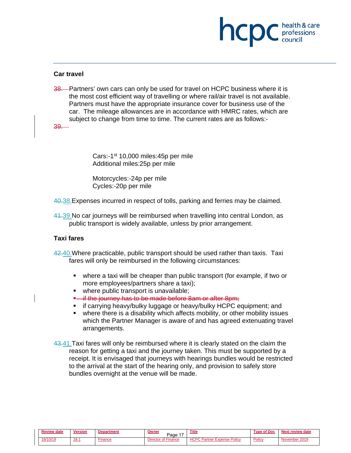# hcp professions<br>council

#### **Car travel**

38. Partners' own cars can only be used for travel on HCPC business where it is the most cost efficient way of travelling or where rail/air travel is not available. Partners must have the appropriate insurance cover for business use of the car. The mileage allowances are in accordance with HMRC rates, which are subject to change from time to time. The current rates are as follows:-

39.

Cars:-1<sup>st</sup> 10,000 miles:45p per mile Additional miles:25p per mile

Motorcycles:-24p per mile Cycles:-20p per mile

40.38.Expenses incurred in respect of tolls, parking and ferries may be claimed.

41.39.No car journeys will be reimbursed when travelling into central London, as public transport is widely available, unless by prior arrangement.

# **Taxi fares**

42.40.Where practicable, public transport should be used rather than taxis. Taxi fares will only be reimbursed in the following circumstances:

- where a taxi will be cheaper than public transport (for example, if two or more employees/partners share a taxi);
- where public transport is unavailable;
- **E** if the journey has to be made before 8am or after 8pm;
- **F** if carrying heavy/bulky luggage or heavy/bulky HCPC equipment; and
- where there is a disability which affects mobility, or other mobility issues which the Partner Manager is aware of and has agreed extenuating travel arrangements.

43.41. Taxi fares will only be reimbursed where it is clearly stated on the claim the reason for getting a taxi and the journey taken. This must be supported by a receipt. It is envisaged that journeys with hearings bundles would be restricted to the arrival at the start of the hearing only, and provision to safely store bundles overnight at the venue will be made.

| <b>Review date</b> | <b>Version</b> | <b>Department</b> | <b>Owner</b><br>$\rightarrow$<br>Page | <b>Title</b>                       | <b>Type of Doc</b> | <b>Next review date</b> |
|--------------------|----------------|-------------------|---------------------------------------|------------------------------------|--------------------|-------------------------|
| 18/10/18           | 18.1           | Finance           | Director of Finance                   | <b>HCPC Partner Expense Policy</b> | Policy             | November 2019           |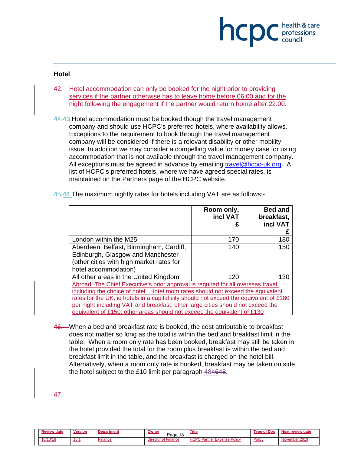# hcpc professions

#### **Hotel**

42. Hotel accommodation can only be booked for the night prior to providing services if the partner otherwise has to leave home before 06:00 and for the night following the engagement if the partner would return home after 22:00.

44.43.Hotel accommodation must be booked though the travel management company and should use HCPC's preferred hotels, where availability allows. Exceptions to the requirement to book through the travel management company will be considered if there is a relevant disability or other mobility issue. In addition we may consider a compelling value for money case for using accommodation that is not available through the travel management company. All exceptions must be agreed in advance by emailing travel@hcpc-uk.org. A list of HCPC's preferred hotels, where we have agreed special rates, is maintained on the Partners page of the HCPC website.

|                                                                                                                                                                                                                                                                                                                                                                                                                                | Room only,<br>incl VAT | <b>Bed and</b><br>breakfast,<br>incl VAT<br>£ |
|--------------------------------------------------------------------------------------------------------------------------------------------------------------------------------------------------------------------------------------------------------------------------------------------------------------------------------------------------------------------------------------------------------------------------------|------------------------|-----------------------------------------------|
| London within the M25                                                                                                                                                                                                                                                                                                                                                                                                          | 170                    | 180                                           |
| Aberdeen, Belfast, Birmingham, Cardiff,<br>Edinburgh, Glasgow and Manchester<br>(other cities with high market rates for<br>hotel accommodation)                                                                                                                                                                                                                                                                               | 140                    | 150                                           |
| All other areas in the United Kingdom                                                                                                                                                                                                                                                                                                                                                                                          | 120                    | 130                                           |
| Abroad: The Chief Executive's prior approval is required for all overseas travel,<br>including the choice of hotel. Hotel room rates should not exceed the equivalent<br>rates for the UK, ie hotels in a capital city should not exceed the equivalent of £180<br>per night including VAT and breakfast; other large cities should not exceed the<br>equivalent of £150; other areas should not exceed the equivalent of £130 |                        |                                               |

45.44.The maximum nightly rates for hotels including VAT are as follows:-

46. When a bed and breakfast rate is booked, the cost attributable to breakfast does not matter so long as the total is within the bed and breakfast limit in the table. When a room only rate has been booked, breakfast may still be taken in the hotel provided the total for the room plus breakfast is within the bed and breakfast limit in the table, and the breakfast is charged on the hotel bill. Alternatively, when a room only rate is booked, breakfast may be taken outside the hotel subject to the £10 limit per paragraph 484648.

47.

| <b>Review</b><br>date | <b>Version</b> | шэп   | Owner<br>$\overline{40}$<br>Page<br>$\circ$ | <b>Title</b>                    | $^{\circ}$ Doc<br><b>Tune</b> | Next review date |
|-----------------------|----------------|-------|---------------------------------------------|---------------------------------|-------------------------------|------------------|
| 18/10/18              | 18.            | nance | . .<br>Finance                              | <b>HCPC</b><br>Policy<br>xpense | Policy                        | .vember<br>ימות  |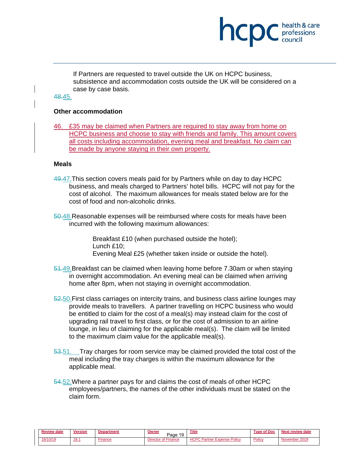# hcp professions

If Partners are requested to travel outside the UK on HCPC business, subsistence and accommodation costs outside the UK will be considered on a case by case basis.

# 48.45.

# **Other accommodation**

46. £35 may be claimed when Partners are required to stay away from home on HCPC business and choose to stay with friends and family. This amount covers all costs including accommodation, evening meal and breakfast. No claim can be made by anyone staying in their own property.

# **Meals**

- 49.47. This section covers meals paid for by Partners while on day to day HCPC business, and meals charged to Partners' hotel bills. HCPC will not pay for the cost of alcohol. The maximum allowances for meals stated below are for the cost of food and non-alcoholic drinks.
- 50.48. Reasonable expenses will be reimbursed where costs for meals have been incurred with the following maximum allowances:

Breakfast £10 (when purchased outside the hotel); Lunch £10; Evening Meal £25 (whether taken inside or outside the hotel).

- 51.49.Breakfast can be claimed when leaving home before 7.30am or when staying in overnight accommodation. An evening meal can be claimed when arriving home after 8pm, when not staying in overnight accommodation.
- 52.50. First class carriages on intercity trains, and business class airline lounges may provide meals to travellers. A partner travelling on HCPC business who would be entitled to claim for the cost of a meal(s) may instead claim for the cost of upgrading rail travel to first class, or for the cost of admission to an airline lounge, in lieu of claiming for the applicable meal(s). The claim will be limited to the maximum claim value for the applicable meal(s).
- 53.51. Tray charges for room service may be claimed provided the total cost of the meal including the tray charges is within the maximum allowance for the applicable meal.
- 54.52. Where a partner pays for and claims the cost of meals of other HCPC employees/partners, the names of the other individuals must be stated on the claim form.

| <b>Review date</b> | <b>Version</b> |        | <b>Owner</b><br>-19<br>Page | <b>Title</b>                               | " Doc:<br>Tyne | <b>Next review date</b> |
|--------------------|----------------|--------|-----------------------------|--------------------------------------------|----------------|-------------------------|
| 18/10/18           | 18.1           | inance | Director of Finance         | HUDU D<br>Policy<br>Expense +<br>Partner F | Policy         | November 2019           |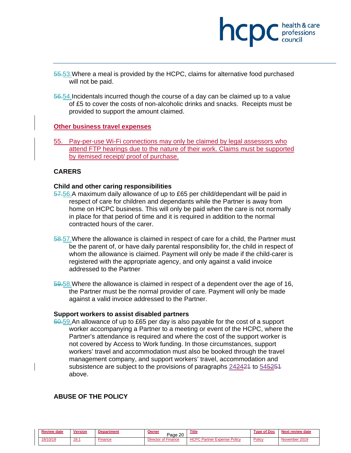

- 55.53.Where a meal is provided by the HCPC, claims for alternative food purchased will not be paid.
- 56.54.Incidentals incurred though the course of a day can be claimed up to a value of £5 to cover the costs of non-alcoholic drinks and snacks. Receipts must be provided to support the amount claimed.

#### **Other business travel expenses**

55. Pay-per-use Wi-Fi connections may only be claimed by legal assessors who attend FTP hearings due to the nature of their work. Claims must be supported by itemised receipt/ proof of purchase.

#### **CARERS**

#### **Child and other caring responsibilities**

- 57.56.A maximum daily allowance of up to £65 per child/dependant will be paid in respect of care for children and dependants while the Partner is away from home on HCPC business. This will only be paid when the care is not normally in place for that period of time and it is required in addition to the normal contracted hours of the carer.
- 58.57. Where the allowance is claimed in respect of care for a child, the Partner must be the parent of, or have daily parental responsibility for, the child in respect of whom the allowance is claimed. Payment will only be made if the child-carer is registered with the appropriate agency, and only against a valid invoice addressed to the Partner
- 59.58.Where the allowance is claimed in respect of a dependent over the age of 16, the Partner must be the normal provider of care. Payment will only be made against a valid invoice addressed to the Partner.

#### **Support workers to assist disabled partners**

60.59.An allowance of up to £65 per day is also payable for the cost of a support worker accompanying a Partner to a meeting or event of the HCPC, where the Partner's attendance is required and where the cost of the support worker is not covered by Access to Work funding. In those circumstances, support workers' travel and accommodation must also be booked through the travel management company, and support workers' travel, accommodation and subsistence are subject to the provisions of paragraphs 242424 to 545254 above.

#### **ABUSE OF THE POLICY**

| Review<br>date | <b>Version</b> | tment   | วพทeเ<br>, 20<br>Page              | <b>Title</b>                                      | ' Doc<br>Tyne.<br>റ്റ | Next review date |
|----------------|----------------|---------|------------------------------------|---------------------------------------------------|-----------------------|------------------|
| 18/10/18       | 18.            | ·inance | .<br>of Finance<br><b>Director</b> | <b>HCPC P</b><br><b>Expense Policy</b><br>Partner | Policy                | November 2019    |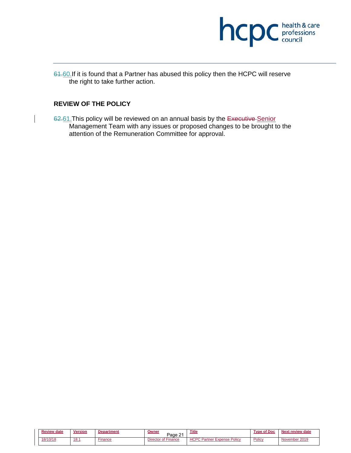

61.60. If it is found that a Partner has abused this policy then the HCPC will reserve the right to take further action.

#### **REVIEW OF THE POLICY**

62.61. This policy will be reviewed on an annual basis by the Executive Senior Management Team with any issues or proposed changes to be brought to the attention of the Remuneration Committee for approval.

| <b>Review date</b> | Version      | <b>Department</b> | <u>Owner</u><br>$\sim$<br>Page | <u>Title</u>                                  | <b>Type of Doc</b> | Next review date |
|--------------------|--------------|-------------------|--------------------------------|-----------------------------------------------|--------------------|------------------|
| 18/10/18           | <u> 18.1</u> | -inance           | <b>Director of Finance</b>     | 1000<br>Partner <b>L</b><br>Policy<br>Expense | Policy             | November 2019    |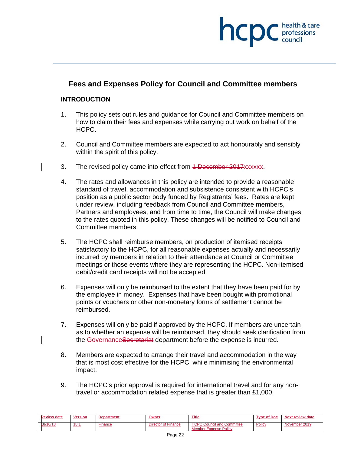# professions

# **Fees and Expenses Policy for Council and Committee members**

#### **INTRODUCTION**

- 1. This policy sets out rules and guidance for Council and Committee members on how to claim their fees and expenses while carrying out work on behalf of the HCPC.
- 2. Council and Committee members are expected to act honourably and sensibly within the spirit of this policy.
- 3. The revised policy came into effect from 4 December 2017xxxxxx.
- 4. The rates and allowances in this policy are intended to provide a reasonable standard of travel, accommodation and subsistence consistent with HCPC's position as a public sector body funded by Registrants' fees. Rates are kept under review, including feedback from Council and Committee members, Partners and employees, and from time to time, the Council will make changes to the rates quoted in this policy. These changes will be notified to Council and Committee members.
- 5. The HCPC shall reimburse members, on production of itemised receipts satisfactory to the HCPC, for all reasonable expenses actually and necessarily incurred by members in relation to their attendance at Council or Committee meetings or those events where they are representing the HCPC. Non-itemised debit/credit card receipts will not be accepted.
- 6. Expenses will only be reimbursed to the extent that they have been paid for by the employee in money. Expenses that have been bought with promotional points or vouchers or other non-monetary forms of settlement cannot be reimbursed.
- 7. Expenses will only be paid if approved by the HCPC. If members are uncertain as to whether an expense will be reimbursed, they should seek clarification from the Governance Secretariat department before the expense is incurred.
- 8. Members are expected to arrange their travel and accommodation in the way that is most cost effective for the HCPC, while minimising the environmental impact.
- 9. The HCPC's prior approval is required for international travel and for any nontravel or accommodation related expense that is greater than £1,000.

| <b>Review date</b> | <b>Version</b> | <b>Department</b> | Owner                      | Title                                                             | <b>Type of Doc</b> | <b>Next review date</b> |
|--------------------|----------------|-------------------|----------------------------|-------------------------------------------------------------------|--------------------|-------------------------|
| 18/10/18           | 18.1           | inance            | <b>Director of Finance</b> | <b>HCPC Council and Committee</b><br><b>Member Expense Policy</b> | Policy             | November 2019           |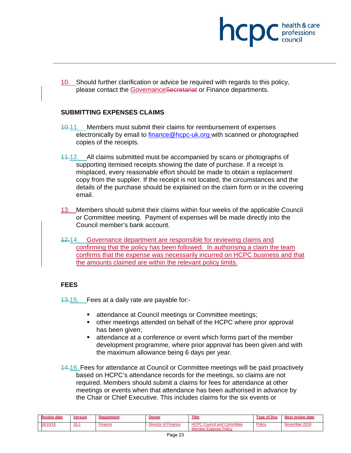

10. Should further clarification or advice be required with regards to this policy, please contact the Governance Secretariat or Finance departments.

#### **SUBMITTING EXPENSES CLAIMS**

- 10.11. Members must submit their claims for reimbursement of expenses electronically by email to finance@hcpc-uk.org with scanned or photographed copies of the receipts.
- 11.12. All claims submitted must be accompanied by scans or photographs of supporting itemised receipts showing the date of purchase. If a receipt is misplaced, every reasonable effort should be made to obtain a replacement copy from the supplier. If the receipt is not located, the circumstances and the details of the purchase should be explained on the claim form or in the covering email.
- 13. Members should submit their claims within four weeks of the applicable Council or Committee meeting. Payment of expenses will be made directly into the Council member's bank account.
- 12.14. Governance department are responsible for reviewing claims and confirming that the policy has been followed. In authorising a claim the team confirms that the expense was necessarily incurred on HCPC business and that the amounts claimed are within the relevant policy limits.

#### **FEES**

13.15. Fees at a daily rate are payable for:-

- **EXECUTE:** attendance at Council meetings or Committee meetings;
- other meetings attended on behalf of the HCPC where prior approval has been given;
- attendance at a conference or event which forms part of the member development programme, where prior approval has been given and with the maximum allowance being 6 days per year.
- 14.16. Fees for attendance at Council or Committee meetings will be paid proactively based on HCPC's attendance records for the meetings, so claims are not required. Members should submit a claims for fees for attendance at other meetings or events when that attendance has been authorised in advance by the Chair or Chief Executive. This includes claims for the six events or

| <b>Review date</b> | <b>Version</b> | Department | <b>Dwner</b>                          | <b>Title</b>                                                       | <b>Type of Doc</b> | Next review date |
|--------------------|----------------|------------|---------------------------------------|--------------------------------------------------------------------|--------------------|------------------|
| 18/10/18           | 18.1           | inance     | <sup>*</sup> Finance<br>Director of F | <b>HCPC Council</b><br>and Committee<br>Policy<br>Member Expense P | Policy             | November 2019    |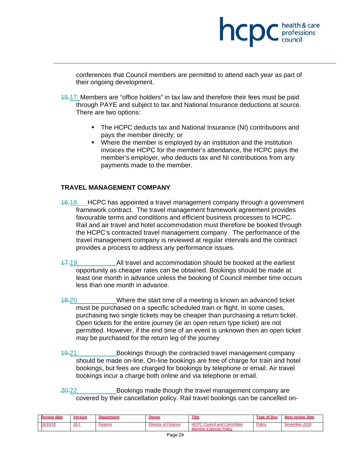conferences that Council members are permitted to attend each year as part of their ongoing development.

hcp

professions<br>council

- 15.17. Members are "office holders" in tax law and therefore their fees must be paid through PAYE and subject to tax and National Insurance deductions at source. There are two options:
	- The HCPC deducts tax and National Insurance (NI) contributions and pays the member directly; or
	- Where the member is employed by an institution and the institution invoices the HCPC for the member's attendance, the HCPC pays the member's employer, who deducts tax and NI contributions from any payments made to the member.

# **TRAVEL MANAGEMENT COMPANY**

- 16.18. HCPC has appointed a travel management company through a government framework contract. The travel management framework agreement provides favourable terms and conditions and efficient business processes to HCPC. Rail and air travel and hotel accommodation must therefore be booked through the HCPC's contracted travel management company. The performance of the travel management company is reviewed at regular intervals and the contract provides a process to address any performance issues.
- 17.19. All travel and accommodation should be booked at the earliest opportunity as cheaper rates can be obtained. Bookings should be made at least one month in advance unless the booking of Council member time occurs less than one month in advance.
- 18.20. Where the start time of a meeting is known an advanced ticket must be purchased on a specific scheduled train or flight. In some cases, purchasing two single tickets may be cheaper than purchasing a return ticket. Open tickets for the entire journey (ie an open return type ticket) are not permitted. However, if the end time of an event is unknown then an open ticket may be purchased for the return leg of the journey
- 19.21. Bookings through the contracted travel management company should be made on-line. On-line bookings are free of charge for train and hotel bookings, but fees are charged for bookings by telephone or email. Air travel bookings incur a charge both online and via telephone or email.
- 20.22. Bookings made though the travel management company are covered by their cancellation policy. Rail travel bookings can be cancelled on-

| <b>Review</b><br>date | Version | <b>Department</b> | Owner                                                                           | Title                                                             | <b>Type of Doc</b> | Next review date |
|-----------------------|---------|-------------------|---------------------------------------------------------------------------------|-------------------------------------------------------------------|--------------------|------------------|
| 18/10/18              | 18.1    | Finance           | r of Finance<br><b><i>Contractor Committee Committee States</i></b><br>Director | <b>HCPC Council and Committee</b><br><b>Member Expense Policy</b> | Policy             | November 2019    |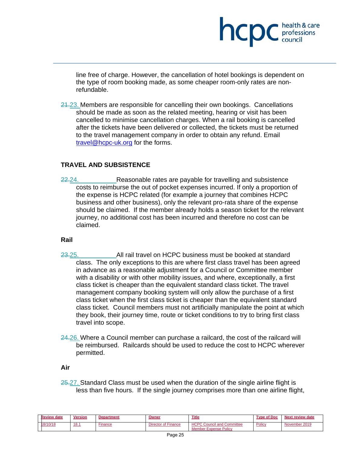line free of charge. However, the cancellation of hotel bookings is dependent on the type of room booking made, as some cheaper room-only rates are nonrefundable.

hcp

professions

 $24.23$ . Members are responsible for cancelling their own bookings. Cancellations should be made as soon as the related meeting, hearing or visit has been cancelled to minimise cancellation charges. When a rail booking is cancelled after the tickets have been delivered or collected, the tickets must be returned to the travel management company in order to obtain any refund. Email travel@hcpc-uk.org for the forms.

# **TRAVEL AND SUBSISTENCE**

22.24. Reasonable rates are payable for travelling and subsistence costs to reimburse the out of pocket expenses incurred. If only a proportion of the expense is HCPC related (for example a journey that combines HCPC business and other business), only the relevant pro-rata share of the expense should be claimed. If the member already holds a season ticket for the relevant journey, no additional cost has been incurred and therefore no cost can be claimed.

#### **Rail**

- 23.25. All rail travel on HCPC business must be booked at standard class. The only exceptions to this are where first class travel has been agreed in advance as a reasonable adjustment for a Council or Committee member with a disability or with other mobility issues, and where, exceptionally, a first class ticket is cheaper than the equivalent standard class ticket. The travel management company booking system will only allow the purchase of a first class ticket when the first class ticket is cheaper than the equivalent standard class ticket. Council members must not artificially manipulate the point at which they book, their journey time, route or ticket conditions to try to bring first class travel into scope.
- 24.26. Where a Council member can purchase a railcard, the cost of the railcard will be reimbursed. Railcards should be used to reduce the cost to HCPC wherever permitted.

#### **Air**

25.27. Standard Class must be used when the duration of the single airline flight is less than five hours. If the single journey comprises more than one airline flight,

| <b>Review date</b> | <b>Version</b> | <b>Department</b> | Owner               | <b>Title</b>                                                      | <b>Type of Doc</b> | Next review date |
|--------------------|----------------|-------------------|---------------------|-------------------------------------------------------------------|--------------------|------------------|
| 18/10/18           | 18.1           | ·inance           | Director of Finance | <b>HCPC Council and Committee</b><br><b>Member Expense Policy</b> | Policy             | November 2019    |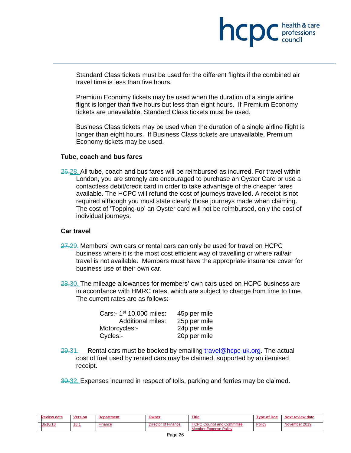

Standard Class tickets must be used for the different flights if the combined air travel time is less than five hours.

 Premium Economy tickets may be used when the duration of a single airline flight is longer than five hours but less than eight hours. If Premium Economy tickets are unavailable, Standard Class tickets must be used.

 Business Class tickets may be used when the duration of a single airline flight is longer than eight hours. If Business Class tickets are unavailable, Premium Economy tickets may be used.

#### **Tube, coach and bus fares**

26.28. All tube, coach and bus fares will be reimbursed as incurred. For travel within London, you are strongly are encouraged to purchase an Oyster Card or use a contactless debit/credit card in order to take advantage of the cheaper fares available. The HCPC will refund the cost of journeys travelled. A receipt is not required although you must state clearly those journeys made when claiming. The cost of 'Topping-up' an Oyster card will not be reimbursed, only the cost of individual journeys.

#### **Car travel**

- 27.29. Members' own cars or rental cars can only be used for travel on HCPC business where it is the most cost efficient way of travelling or where rail/air travel is not available. Members must have the appropriate insurance cover for business use of their own car.
- 28.30. The mileage allowances for members' own cars used on HCPC business are in accordance with HMRC rates, which are subject to change from time to time. The current rates are as follows:-

| Cars:- 1 <sup>st</sup> 10,000 miles: | 45p per mile |
|--------------------------------------|--------------|
| <b>Additional miles:</b>             | 25p per mile |
| Motorcycles:-                        | 24p per mile |
| Cycles:-                             | 20p per mile |

 $29.31.$  Rental cars must be booked by emailing travel@hcpc-uk.org. The actual cost of fuel used by rented cars may be claimed, supported by an itemised receipt.

30.32. Expenses incurred in respect of tolls, parking and ferries may be claimed.

| <b>Review date</b> | Version | <b>Department</b> | <u>Owner</u>               | Title                                                             | <b>Type of Doc</b> | Next review date |
|--------------------|---------|-------------------|----------------------------|-------------------------------------------------------------------|--------------------|------------------|
| 18/10/18           | 18.1    | -inance           | <b>Director of Finance</b> | <b>HCPC Council and Committee</b><br><b>Member Expense Policy</b> | Policy             | November 2019    |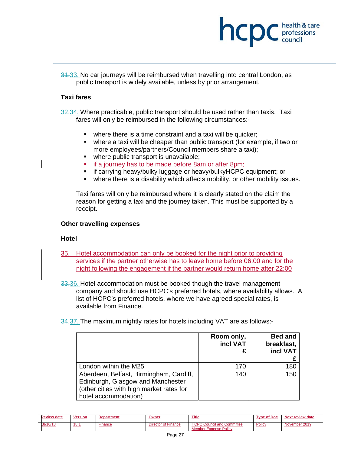

31.33. No car journeys will be reimbursed when travelling into central London, as public transport is widely available, unless by prior arrangement.

#### **Taxi fares**

32.34. Where practicable, public transport should be used rather than taxis. Taxi fares will only be reimbursed in the following circumstances:-

- where there is a time constraint and a taxi will be quicker;
- where a taxi will be cheaper than public transport (for example, if two or more employees/partners/Council members share a taxi);
- where public transport is unavailable;
- **E** if a journey has to be made before 8am or after 8pm;
- if carrying heavy/bulky luggage or heavy/bulkyHCPC equipment; or
- where there is a disability which affects mobility, or other mobility issues.

Taxi fares will only be reimbursed where it is clearly stated on the claim the reason for getting a taxi and the journey taken. This must be supported by a receipt.

#### **Other travelling expenses**

#### **Hotel**

- 35. Hotel accommodation can only be booked for the night prior to providing services if the partner otherwise has to leave home before 06:00 and for the night following the engagement if the partner would return home after 22:00
- 33.36. Hotel accommodation must be booked though the travel management company and should use HCPC's preferred hotels, where availability allows. A list of HCPC's preferred hotels, where we have agreed special rates, is available from Finance.
- 34.37. The maximum nightly rates for hotels including VAT are as follows:-

|                                                                                                                                                  | Room only,<br>incl VAT<br>£ | <b>Bed and</b><br>breakfast,<br>incl VAT |
|--------------------------------------------------------------------------------------------------------------------------------------------------|-----------------------------|------------------------------------------|
| London within the M25                                                                                                                            | 170                         | 180                                      |
| Aberdeen, Belfast, Birmingham, Cardiff,<br>Edinburgh, Glasgow and Manchester<br>(other cities with high market rates for<br>hotel accommodation) | 140                         | 150                                      |

| <b>Review date</b> | <b>Version</b> | <b>Department</b> | Owner               | <b>Title</b>                                                      | Type of Doc | <b>Next review date</b> |
|--------------------|----------------|-------------------|---------------------|-------------------------------------------------------------------|-------------|-------------------------|
| 18/10/18           | 18.1           | -inance           | Director of Finance | <b>HCPC Council and Committee</b><br><b>Member Expense Policy</b> | Policy      | November 2019           |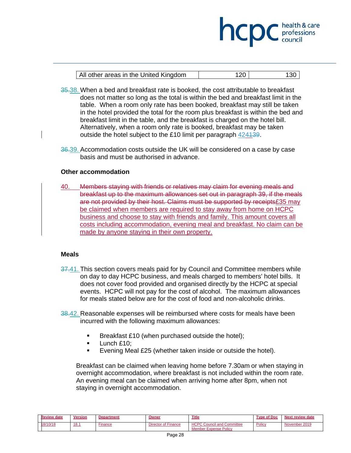| All other areas in the United Kingdom | 120 | 130 |
|---------------------------------------|-----|-----|

hcp

professions

- 35.38. When a bed and breakfast rate is booked, the cost attributable to breakfast does not matter so long as the total is within the bed and breakfast limit in the table. When a room only rate has been booked, breakfast may still be taken in the hotel provided the total for the room plus breakfast is within the bed and breakfast limit in the table, and the breakfast is charged on the hotel bill. Alternatively, when a room only rate is booked, breakfast may be taken outside the hotel subject to the £10 limit per paragraph 424139.
- 36.39. Accommodation costs outside the UK will be considered on a case by case basis and must be authorised in advance.

# **Other accommodation**

40. Members staying with friends or relatives may claim for evening meals and breakfast up to the maximum allowances set out in paragraph 39, if the meals are not provided by their host. Claims must be supported by receipts£35 may be claimed when members are required to stay away from home on HCPC business and choose to stay with friends and family. This amount covers all costs including accommodation, evening meal and breakfast. No claim can be made by anyone staying in their own property.

# **Meals**

- 37.41. This section covers meals paid for by Council and Committee members while on day to day HCPC business, and meals charged to members' hotel bills. It does not cover food provided and organised directly by the HCPC at special events. HCPC will not pay for the cost of alcohol. The maximum allowances for meals stated below are for the cost of food and non-alcoholic drinks.
- 38.42. Reasonable expenses will be reimbursed where costs for meals have been incurred with the following maximum allowances:
	- Breakfast £10 (when purchased outside the hotel);
	- **Lunch £10;**
	- Evening Meal £25 (whether taken inside or outside the hotel).

Breakfast can be claimed when leaving home before 7.30am or when staying in overnight accommodation, where breakfast is not included within the room rate. An evening meal can be claimed when arriving home after 8pm, when not staying in overnight accommodation.

| <b>Review date</b> | Version | <b>Department</b> | <u> Owner</u>              | Title                                                             | Type of Doc | Next review date |
|--------------------|---------|-------------------|----------------------------|-------------------------------------------------------------------|-------------|------------------|
| 18/10/18           | 18.1    | Finance           | <b>Director of Finance</b> | <b>HCPC Council and Committee</b><br><b>Member Expense Policy</b> | Policy      | November 2019    |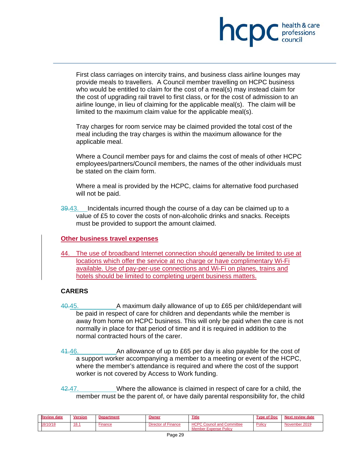

First class carriages on intercity trains, and business class airline lounges may provide meals to travellers. A Council member travelling on HCPC business who would be entitled to claim for the cost of a meal(s) may instead claim for the cost of upgrading rail travel to first class, or for the cost of admission to an airline lounge, in lieu of claiming for the applicable meal(s). The claim will be limited to the maximum claim value for the applicable meal(s).

Tray charges for room service may be claimed provided the total cost of the meal including the tray charges is within the maximum allowance for the applicable meal.

Where a Council member pays for and claims the cost of meals of other HCPC employees/partners/Council members, the names of the other individuals must be stated on the claim form.

Where a meal is provided by the HCPC, claims for alternative food purchased will not be paid.

39.43. Incidentals incurred though the course of a day can be claimed up to a value of £5 to cover the costs of non-alcoholic drinks and snacks. Receipts must be provided to support the amount claimed.

# **Other business travel expenses**

44. The use of broadband Internet connection should generally be limited to use at locations which offer the service at no charge or have complimentary Wi-Fi available. Use of pay-per-use connections and Wi-Fi on planes, trains and hotels should be limited to completing urgent business matters.

# **CARERS**

- 40.45. A maximum daily allowance of up to £65 per child/dependant will be paid in respect of care for children and dependants while the member is away from home on HCPC business. This will only be paid when the care is not normally in place for that period of time and it is required in addition to the normal contracted hours of the carer.
- 44.46. An allowance of up to £65 per day is also payable for the cost of a support worker accompanying a member to a meeting or event of the HCPC, where the member's attendance is required and where the cost of the support worker is not covered by Access to Work funding.
- 42.47. Where the allowance is claimed in respect of care for a child, the member must be the parent of, or have daily parental responsibility for, the child

| <b>Review date</b> | Version | Department | Owner               | <b>Title</b>                                                                 | e of Doc<br><b>Type</b> | Next review date |
|--------------------|---------|------------|---------------------|------------------------------------------------------------------------------|-------------------------|------------------|
| 18/10/18           | 18.1    | finance    | Director of Finance | <b>HCPC Council and Committee</b><br>Policy<br>∵Expense l<br>√ember <b>⊾</b> | Policy                  | November 2019    |